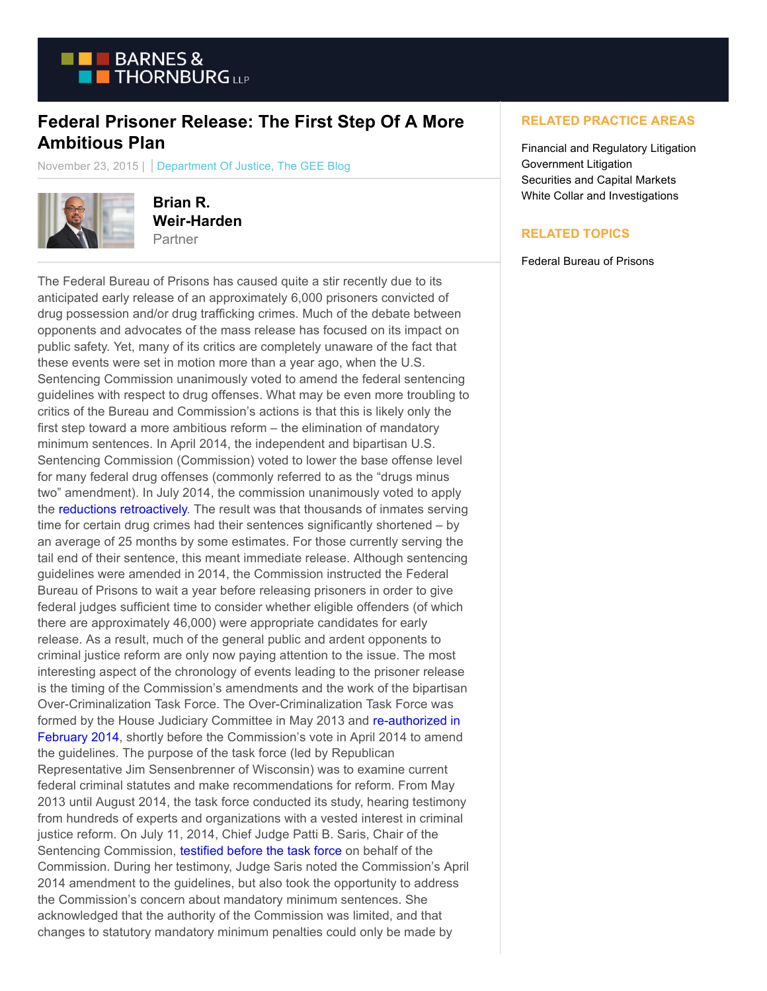

## **Federal Prisoner Release: The First Step Of A More Ambitious Plan**

November 23, 2015 | Department Of Justice, The GEE Blog



**Brian R. Weir-Harden** Partner

The Federal Bureau of Prisons has caused quite a stir recently due to its anticipated early release of an approximately 6,000 prisoners convicted of drug possession and/or drug trafficking crimes. Much of the debate between opponents and advocates of the mass release has focused on its impact on public safety. Yet, many of its critics are completely unaware of the fact that these events were set in motion more than a year ago, when the U.S. Sentencing Commission unanimously voted to amend the federal sentencing guidelines with respect to drug offenses. What may be even more troubling to critics of the Bureau and Commission's actions is that this is likely only the first step toward a more ambitious reform – the elimination of mandatory minimum sentences. In April 2014, the independent and bipartisan U.S. Sentencing Commission (Commission) voted to lower the base offense level for many federal drug offenses (commonly referred to as the "drugs minus two" amendment). In July 2014, the commission unanimously voted to apply the [reductions retroactively.](http://www.google.com/url?sa=t&rct=j&q=&esrc=s&source=web&cd=3&ved=0CCsQFjACahUKEwiDt_vI85fJAhVB1x4KHdFJAx4&url=http%3A%2F%2Fwww.ussc.gov%2Fsites%2Fdefault%2Ffiles%2Fpdf%2Fnews%2Fpress-releases-and-news-advisories%2Fpress-releases%2F20140718_press_release.pdf&usg=AFQjCNGk3NB-QVPNBPJ4V4vCIpbIKd9VsQ&sig2=OXJUoVPX2R8mXFDc8kXpjQ) The result was that thousands of inmates serving time for certain drug crimes had their sentences significantly shortened – by an average of 25 months by some estimates. For those currently serving the tail end of their sentence, this meant immediate release. Although sentencing guidelines were amended in 2014, the Commission instructed the Federal Bureau of Prisons to wait a year before releasing prisoners in order to give federal judges sufficient time to consider whether eligible offenders (of which there are approximately 46,000) were appropriate candidates for early release. As a result, much of the general public and ardent opponents to criminal justice reform are only now paying attention to the issue. The most interesting aspect of the chronology of events leading to the prisoner release is the timing of the Commission's amendments and the work of the bipartisan Over-Criminalization Task Force. The Over-Criminalization Task Force was formed by the House Judiciary Committee in May 2013 and [re-authorized in](http://judiciary.house.gov/index.cfm/2014/2/house-judiciary-committee-reauthorizes-bipartisan-over-criminalization-task-force) February 2014, shortly before the Commission's vote in April 2014 to amend the guidelines. The purpose of the task force (led by Republican Representative Jim Sensenbrenner of Wisconsin) was to examine current federal criminal statutes and make recommendations for reform. From May 2013 until August 2014, the task force conducted its study, hearing testimony from hundreds of experts and organizations with a vested interest in criminal justice reform. On July 11, 2014, Chief Judge Patti B. Saris, Chair of the Sentencing Commission, [testified before the task force o](http://www.google.com/url?sa=t&rct=j&q=&esrc=s&source=web&cd=1&ved=0CB0QFjAAahUKEwi5l-_y9ZfJAhVDXR4KHSGFCLg&url=http%3A%2F%2Fwww.ussc.gov%2Fsites%2Fdefault%2Ffiles%2Fpdf%2Fnews%2Fcongressional-testimony-and-reports%2Ftestimony%2F20140711_Saris_Testimony.pdf&usg=AFQjCNEMckRSSkWMb5UE_zqXZ3W4eUzzog&sig2=HGd01lmHQaPZxG6ZEunULg&bvm=bv.107467506,d.dmo)n behalf of the Commission. During her testimony, Judge Saris noted the Commission's April 2014 amendment to the guidelines, but also took the opportunity to address the Commission's concern about mandatory minimum sentences. She acknowledged that the authority of the Commission was limited, and that changes to statutory mandatory minimum penalties could only be made by

## **RELATED PRACTICE AREAS**

Financial and Regulatory Litigation Government Litigation Securities and Capital Markets White Collar and Investigations

## **RELATED TOPICS**

Federal Bureau of Prisons